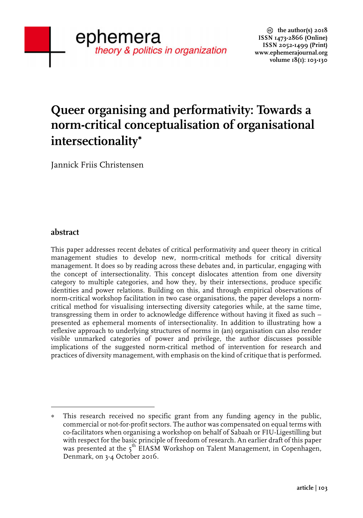# **Queer organising and performativity: Towards a norm-critical conceptualisation of organisational intersectionality**<sup>∗</sup>

Jannick Friis Christensen

 

#### **abstract**

This paper addresses recent debates of critical performativity and queer theory in critical management studies to develop new, norm-critical methods for critical diversity management. It does so by reading across these debates and, in particular, engaging with the concept of intersectionality. This concept dislocates attention from one diversity category to multiple categories, and how they, by their intersections, produce specific identities and power relations. Building on this, and through empirical observations of norm-critical workshop facilitation in two case organisations, the paper develops a normcritical method for visualising intersecting diversity categories while, at the same time, transgressing them in order to acknowledge difference without having it fixed as such – presented as ephemeral moments of intersectionality. In addition to illustrating how a reflexive approach to underlying structures of norms in (an) organisation can also render visible unmarked categories of power and privilege, the author discusses possible implications of the suggested norm-critical method of intervention for research and practices of diversity management, with emphasis on the kind of critique that is performed**.**

This research received no specific grant from any funding agency in the public, commercial or not-for-profit sectors. The author was compensated on equal terms with co-facilitators when organising a workshop on behalf of Sabaah or FIU-Ligestilling but with respect for the basic principle of freedom of research. An earlier draft of this paper was presented at the 5<sup>th</sup> EIASM Workshop on Talent Management, in Copenhagen, Denmark, on 3-4 October 2016.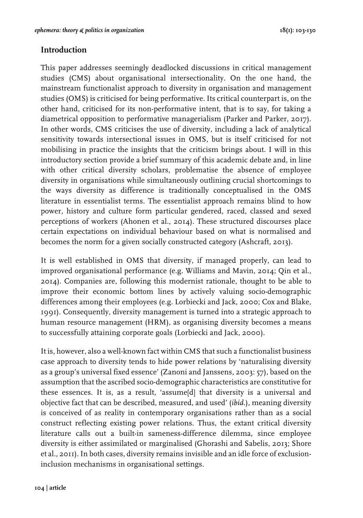## **Introduction**

This paper addresses seemingly deadlocked discussions in critical management studies (CMS) about organisational intersectionality. On the one hand, the mainstream functionalist approach to diversity in organisation and management studies (OMS) is criticised for being performative. Its critical counterpart is, on the other hand, criticised for its non-performative intent, that is to say, for taking a diametrical opposition to performative managerialism (Parker and Parker, 2017). In other words, CMS criticises the use of diversity, including a lack of analytical sensitivity towards intersectional issues in OMS, but is itself criticised for not mobilising in practice the insights that the criticism brings about. I will in this introductory section provide a brief summary of this academic debate and, in line with other critical diversity scholars, problematise the absence of employee diversity in organisations while simultaneously outlining crucial shortcomings to the ways diversity as difference is traditionally conceptualised in the OMS literature in essentialist terms. The essentialist approach remains blind to how power, history and culture form particular gendered, raced, classed and sexed perceptions of workers (Ahonen et al., 2014). These structured discourses place certain expectations on individual behaviour based on what is normalised and becomes the norm for a given socially constructed category (Ashcraft, 2013).

It is well established in OMS that diversity, if managed properly, can lead to improved organisational performance (e.g. Williams and Mavin, 2014; Qin et al., 2014). Companies are, following this modernist rationale, thought to be able to improve their economic bottom lines by actively valuing socio-demographic differences among their employees (e.g. Lorbiecki and Jack, 2000; Cox and Blake, 1991). Consequently, diversity management is turned into a strategic approach to human resource management (HRM), as organising diversity becomes a means to successfully attaining corporate goals (Lorbiecki and Jack, 2000).

It is, however, also a well-known fact within CMS that such a functionalist business case approach to diversity tends to hide power relations by 'naturalising diversity as a group's universal fixed essence' (Zanoni and Janssens, 2003: 57), based on the assumption that the ascribed socio-demographic characteristics are constitutive for these essences. It is, as a result, 'assume[d] that diversity is a universal and objective fact that can be described, measured, and used' (*ibid.*), meaning diversity is conceived of as reality in contemporary organisations rather than as a social construct reflecting existing power relations. Thus, the extant critical diversity literature calls out a built-in sameness-difference dilemma, since employee diversity is either assimilated or marginalised (Ghorashi and Sabelis, 2013; Shore et al., 2011). In both cases, diversity remains invisible and an idle force of exclusioninclusion mechanisms in organisational settings.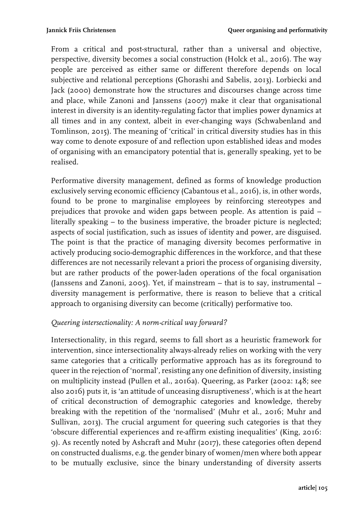From a critical and post-structural, rather than a universal and objective, perspective, diversity becomes a social construction (Holck et al., 2016). The way people are perceived as either same or different therefore depends on local subjective and relational perceptions (Ghorashi and Sabelis, 2013). Lorbiecki and Jack (2000) demonstrate how the structures and discourses change across time and place, while Zanoni and Janssens (2007) make it clear that organisational interest in diversity is an identity-regulating factor that implies power dynamics at all times and in any context, albeit in ever-changing ways (Schwabenland and Tomlinson, 2015). The meaning of 'critical' in critical diversity studies has in this way come to denote exposure of and reflection upon established ideas and modes of organising with an emancipatory potential that is, generally speaking, yet to be realised.

Performative diversity management, defined as forms of knowledge production exclusively serving economic efficiency (Cabantous et al., 2016), is, in other words, found to be prone to marginalise employees by reinforcing stereotypes and prejudices that provoke and widen gaps between people. As attention is paid – literally speaking – to the business imperative, the broader picture is neglected; aspects of social justification, such as issues of identity and power, are disguised. The point is that the practice of managing diversity becomes performative in actively producing socio-demographic differences in the workforce, and that these differences are not necessarily relevant a priori the process of organising diversity, but are rather products of the power-laden operations of the focal organisation (Janssens and Zanoni, 2005). Yet, if mainstream – that is to say, instrumental – diversity management is performative, there is reason to believe that a critical approach to organising diversity can become (critically) performative too.

## *Queering intersectionality: A norm-critical way forward?*

Intersectionality, in this regard, seems to fall short as a heuristic framework for intervention, since intersectionality always-already relies on working with the very same categories that a critically performative approach has as its foreground to queer in the rejection of 'normal', resisting any one definition of diversity, insisting on multiplicity instead (Pullen et al., 2016a). Queering, as Parker (2002: 148; see also 2016) puts it, is 'an attitude of unceasing disruptiveness', which is at the heart of critical deconstruction of demographic categories and knowledge, thereby breaking with the repetition of the 'normalised' (Muhr et al., 2016; Muhr and Sullivan, 2013). The crucial argument for queering such categories is that they 'obscure differential experiences and re-affirm existing inequalities' (King, 2016: 9). As recently noted by Ashcraft and Muhr (2017), these categories often depend on constructed dualisms, e.g. the gender binary of women/men where both appear to be mutually exclusive, since the binary understanding of diversity asserts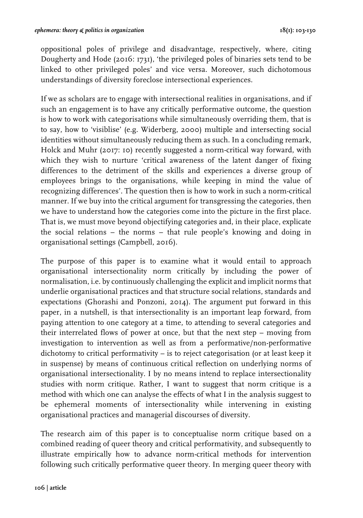oppositional poles of privilege and disadvantage, respectively, where, citing Dougherty and Hode (2016: 1731), 'the privileged poles of binaries sets tend to be linked to other privileged poles' and vice versa. Moreover, such dichotomous understandings of diversity foreclose intersectional experiences.

If we as scholars are to engage with intersectional realities in organisations, and if such an engagement is to have any critically performative outcome, the question is how to work with categorisations while simultaneously overriding them, that is to say, how to 'visiblise' (e.g. Widerberg, 2000) multiple and intersecting social identities without simultaneously reducing them as such. In a concluding remark, Holck and Muhr (2017: 10) recently suggested a norm-critical way forward, with which they wish to nurture 'critical awareness of the latent danger of fixing differences to the detriment of the skills and experiences a diverse group of employees brings to the organisations, while keeping in mind the value of recognizing differences'. The question then is how to work in such a norm-critical manner. If we buy into the critical argument for transgressing the categories, then we have to understand how the categories come into the picture in the first place. That is, we must move beyond objectifying categories and, in their place, explicate the social relations – the norms – that rule people's knowing and doing in organisational settings (Campbell, 2016).

The purpose of this paper is to examine what it would entail to approach organisational intersectionality norm critically by including the power of normalisation, i.e. by continuously challenging the explicit and implicit norms that underlie organisational practices and that structure social relations, standards and expectations (Ghorashi and Ponzoni, 2014). The argument put forward in this paper, in a nutshell, is that intersectionality is an important leap forward, from paying attention to one category at a time, to attending to several categories and their interrelated flows of power at once, but that the next step – moving from investigation to intervention as well as from a performative/non-performative dichotomy to critical performativity – is to reject categorisation (or at least keep it in suspense) by means of continuous critical reflection on underlying norms of organisational intersectionality. I by no means intend to replace intersectionality studies with norm critique. Rather, I want to suggest that norm critique is a method with which one can analyse the effects of what I in the analysis suggest to be ephemeral moments of intersectionality while intervening in existing organisational practices and managerial discourses of diversity.

The research aim of this paper is to conceptualise norm critique based on a combined reading of queer theory and critical performativity, and subsequently to illustrate empirically how to advance norm-critical methods for intervention following such critically performative queer theory. In merging queer theory with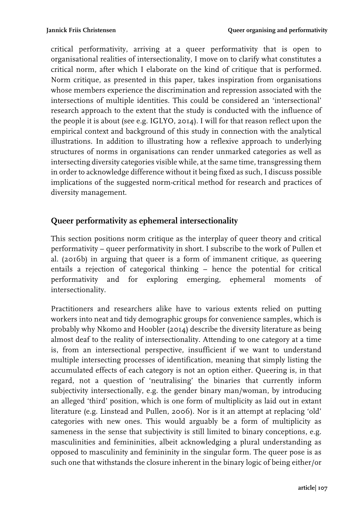critical performativity, arriving at a queer performativity that is open to organisational realities of intersectionality, I move on to clarify what constitutes a critical norm, after which I elaborate on the kind of critique that is performed. Norm critique, as presented in this paper, takes inspiration from organisations whose members experience the discrimination and repression associated with the intersections of multiple identities. This could be considered an 'intersectional' research approach to the extent that the study is conducted with the influence of the people it is about (see e.g. IGLYO, 2014). I will for that reason reflect upon the empirical context and background of this study in connection with the analytical illustrations. In addition to illustrating how a reflexive approach to underlying structures of norms in organisations can render unmarked categories as well as intersecting diversity categories visible while, at the same time, transgressing them in order to acknowledge difference without it being fixed as such, I discuss possible implications of the suggested norm-critical method for research and practices of diversity management.

# **Queer performativity as ephemeral intersectionality**

This section positions norm critique as the interplay of queer theory and critical performativity – queer performativity in short. I subscribe to the work of Pullen et al. (2016b) in arguing that queer is a form of immanent critique, as queering entails a rejection of categorical thinking – hence the potential for critical performativity and for exploring emerging, ephemeral moments of intersectionality.

Practitioners and researchers alike have to various extents relied on putting workers into neat and tidy demographic groups for convenience samples, which is probably why Nkomo and Hoobler (2014) describe the diversity literature as being almost deaf to the reality of intersectionality. Attending to one category at a time is, from an intersectional perspective, insufficient if we want to understand multiple intersecting processes of identification, meaning that simply listing the accumulated effects of each category is not an option either. Queering is, in that regard, not a question of 'neutralising' the binaries that currently inform subjectivity intersectionally, e.g. the gender binary man/woman, by introducing an alleged 'third' position, which is one form of multiplicity as laid out in extant literature (e.g. Linstead and Pullen, 2006). Nor is it an attempt at replacing 'old' categories with new ones. This would arguably be a form of multiplicity as sameness in the sense that subjectivity is still limited to binary conceptions, e.g. masculinities and femininities, albeit acknowledging a plural understanding as opposed to masculinity and femininity in the singular form. The queer pose is as such one that withstands the closure inherent in the binary logic of being either/or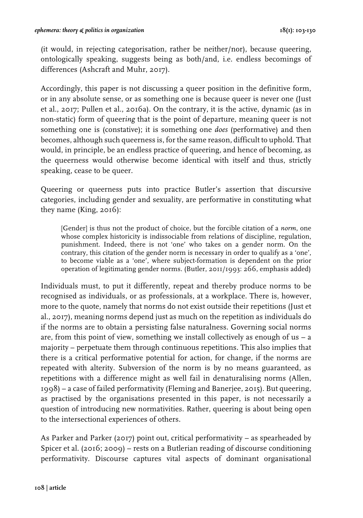(it would, in rejecting categorisation, rather be neither/nor), because queering, ontologically speaking, suggests being as both/and, i.e. endless becomings of differences (Ashcraft and Muhr, 2017).

Accordingly, this paper is not discussing a queer position in the definitive form, or in any absolute sense, or as something one is because queer is never one (Just et al., 2017; Pullen et al., 2016a). On the contrary, it is the active, dynamic (as in non-static) form of queer*ing* that is the point of departure, meaning queer is not something one is (constative); it is something one *does* (performative) and then becomes, although such queerness is, for the same reason, difficult to uphold. That would, in principle, be an endless practice of queering, and hence of becoming, as the queerness would otherwise become identical with itself and thus, strictly speaking, cease to be queer.

Queering or queerness puts into practice Butler's assertion that discursive categories, including gender and sexuality, are performative in constituting what they name (King, 2016):

[Gender] is thus not the product of choice, but the forcible citation of a *norm*, one whose complex historicity is indissociable from relations of discipline, regulation, punishment. Indeed, there is not 'one' who takes on a gender norm. On the contrary, this citation of the gender norm is necessary in order to qualify as a 'one', to become viable as a 'one', where subject-formation is dependent on the prior operation of legitimating gender norms. (Butler, 2011/1993: 266, emphasis added)

Individuals must, to put it differently, repeat and thereby produce norms to be recognised as individuals, or as professionals, at a workplace. There is, however, more to the quote, namely that norms do not exist outside their repetitions (Just et al., 2017), meaning norms depend just as much on the repetition as individuals do if the norms are to obtain a persisting false naturalness. Governing social norms are, from this point of view, something we install collectively as enough of  $us - a$ majority – perpetuate them through continuous repetitions. This also implies that there is a critical performative potential for action, for change, if the norms are repeated with alterity. Subversion of the norm is by no means guaranteed, as repetitions with a difference might as well fail in denaturalising norms (Allen, 1998) – a case of failed performativity (Fleming and Banerjee, 2015). But queering, as practised by the organisations presented in this paper, is not necessarily a question of introducing new normativities. Rather, queering is about being open to the intersectional experiences of others.

As Parker and Parker (2017) point out, critical performativity – as spearheaded by Spicer et al. (2016; 2009) – rests on a Butlerian reading of discourse conditioning performativity. Discourse captures vital aspects of dominant organisational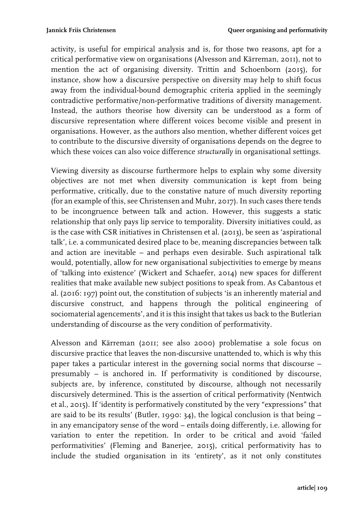activity, is useful for empirical analysis and is, for those two reasons, apt for a critical performative view on organisations (Alvesson and Kärreman, 2011), not to mention the act of organising diversity. Trittin and Schoenborn (2015), for instance, show how a discursive perspective on diversity may help to shift focus away from the individual-bound demographic criteria applied in the seemingly contradictive performative/non-performative traditions of diversity management. Instead, the authors theorise how diversity can be understood as a form of discursive representation where different voices become visible and present in organisations. However, as the authors also mention, whether different voices get to contribute to the discursive diversity of organisations depends on the degree to which these voices can also voice difference *structurally* in organisational settings.

Viewing diversity as discourse furthermore helps to explain why some diversity objectives are not met when diversity communication is kept from being performative, critically, due to the constative nature of much diversity reporting (for an example of this, see Christensen and Muhr, 2017). In such cases there tends to be incongruence between talk and action. However, this suggests a static relationship that only pays lip service to temporality. Diversity initiatives could, as is the case with CSR initiatives in Christensen et al. (2013), be seen as 'aspirational talk', i.e. a communicated desired place to be, meaning discrepancies between talk and action are inevitable – and perhaps even desirable. Such aspirational talk would, potentially, allow for new organisational subjectivities to emerge by means of 'talking into existence' (Wickert and Schaefer, 2014) new spaces for different realities that make available new subject positions to speak from. As Cabantous et al. (2016: 197) point out, the constitution of subjects 'is an inherently material and discursive construct, and happens through the political engineering of sociomaterial agencements', and it is this insight that takes us back to the Butlerian understanding of discourse as the very condition of performativity.

Alvesson and Kärreman (2011; see also 2000) problematise a sole focus on discursive practice that leaves the non-discursive unattended to, which is why this paper takes a particular interest in the governing social norms that discourse – presumably – is anchored in. If performativity is conditioned by discourse, subjects are, by inference, constituted by discourse, although not necessarily discursively determined. This is the assertion of critical performativity (Nentwich et al., 2015). If 'identity is performatively constituted by the very "expressions" that are said to be its results' (Butler, 1990: 34), the logical conclusion is that being – in any emancipatory sense of the word – entails doing differently, i.e. allowing for variation to enter the repetition. In order to be critical and avoid 'failed performativities' (Fleming and Banerjee, 2015), critical performativity has to include the studied organisation in its 'entirety', as it not only constitutes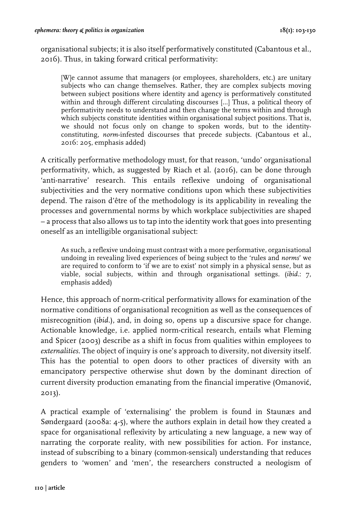organisational subjects; it is also itself performatively constituted (Cabantous et al., 2016). Thus, in taking forward critical performativity:

[W]e cannot assume that managers (or employees, shareholders, etc.) are unitary subjects who can change themselves. Rather, they are complex subjects moving between subject positions where identity and agency is performatively constituted within and through different circulating discourses […] Thus, a political theory of performativity needs to understand and then change the terms within and through which subjects constitute identities within organisational subject positions. That is, we should not focus only on change to spoken words, but to the identityconstituting, *norm*-infested discourses that precede subjects. (Cabantous et al., 2016: 205, emphasis added)

A critically performative methodology must, for that reason, 'undo' organisational performativity, which, as suggested by Riach et al. (2016), can be done through 'anti-narrative' research. This entails reflexive undoing of organisational subjectivities and the very normative conditions upon which these subjectivities depend. The raison d'être of the methodology is its applicability in revealing the processes and governmental norms by which workplace subjectivities are shaped – a process that also allows us to tap into the identity work that goes into presenting oneself as an intelligible organisational subject:

As such, a reflexive undoing must contrast with a more performative, organisational undoing in revealing lived experiences of being subject to the 'rules and *norms*' we are required to conform to 'if we are to exist' not simply in a physical sense, but as viable, social subjects, within and through organisational settings. (*ibid.*: 7, emphasis added)

Hence, this approach of norm-critical performativity allows for examination of the normative conditions of organisational recognition as well as the consequences of misrecognition (*ibid.*), and, in doing so, opens up a discursive space for change. Actionable knowledge, i.e. applied norm-critical research, entails what Fleming and Spicer (2003) describe as a shift in focus from qualities within employees to *externalities*. The object of inquiry is one's approach to diversity, not diversity itself. This has the potential to open doors to other practices of diversity with an emancipatory perspective otherwise shut down by the dominant direction of current diversity production emanating from the financial imperative (Omanović, 2013).

A practical example of 'externalising' the problem is found in Staunæs and Søndergaard (2008a: 4-5), where the authors explain in detail how they created a space for organisational reflexivity by articulating a new language, a new way of narrating the corporate reality, with new possibilities for action. For instance, instead of subscribing to a binary (common-sensical) understanding that reduces genders to 'women' and 'men', the researchers constructed a neologism of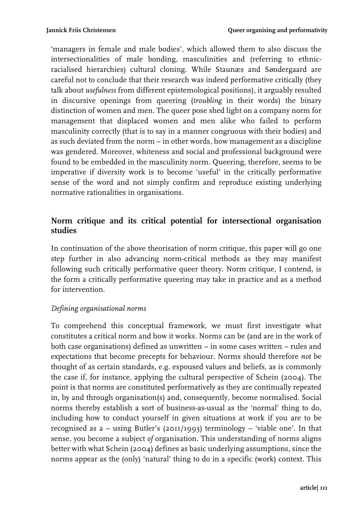'managers in female and male bodies', which allowed them to also discuss the intersectionalities of male bonding, masculinities and (referring to ethnicracialised hierarchies) cultural cloning. While Staunæs and Søndergaard are careful not to conclude that their research was indeed performative critically (they talk about *usefulness* from different epistemological positions), it arguably resulted in discursive openings from queering (*troubling* in their words) the binary distinction of women and men. The queer pose shed light on a company norm for management that displaced women and men alike who failed to perform masculinity correctly (that is to say in a manner congruous with their bodies) and as such deviated from the norm – in other words, how management as a discipline was gendered. Moreover, whiteness and social and professional background were found to be embedded in the masculinity norm. Queering, therefore, seems to be imperative if diversity work is to become 'useful' in the critically performative sense of the word and not simply confirm and reproduce existing underlying normative rationalities in organisations.

# **Norm critique and its critical potential for intersectional organisation studies**

In continuation of the above theorisation of norm critique, this paper will go one step further in also advancing norm-critical methods as they may manifest following such critically performative queer theory. Norm critique, I contend, is the form a critically performative queering may take in practice and as a method for intervention.

## *Defining organisational norms*

To comprehend this conceptual framework, we must first investigate what constitutes a critical norm and how it works. Norms can be (and are in the work of both case organisations) defined as unwritten – in some cases written – rules and expectations that become precepts for behaviour. Norms should therefore *not* be thought of as certain standards, e.g. espoused values and beliefs, as is commonly the case if, for instance, applying the cultural perspective of Schein (2004). The point is that norms are constituted performatively as they are continually repeated in, by and through organisation(s) and, consequently, become normalised. Social norms thereby establish a sort of business-as-usual as the 'normal' thing to do, including how to conduct yourself in given situations at work if you are to be recognised as a – using Butler's (2011/1993) terminology – 'viable one'. In that sense, you become a subject *of* organisation. This understanding of norms aligns better with what Schein (2004) defines as basic underlying assumptions, since the norms appear as the (only) 'natural' thing to do in a specific (work) context. This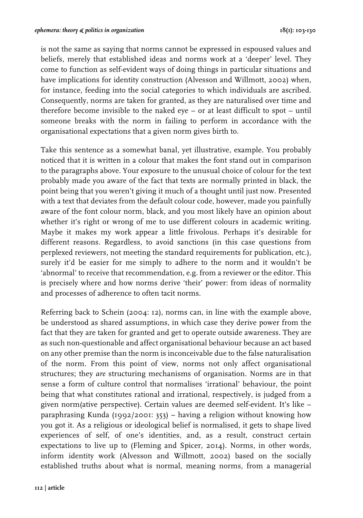is not the same as saying that norms cannot be expressed in espoused values and beliefs, merely that established ideas and norms work at a 'deeper' level. They come to function as self-evident ways of doing things in particular situations and have implications for identity construction (Alvesson and Willmott, 2002) when, for instance, feeding into the social categories to which individuals are ascribed. Consequently, norms are taken for granted, as they are naturalised over time and therefore become invisible to the naked eye – or at least difficult to spot – until someone breaks with the norm in failing to perform in accordance with the organisational expectations that a given norm gives birth to.

Take this sentence as a somewhat banal, yet illustrative, example. You probably noticed that it is written in a colour that makes the font stand out in comparison to the paragraphs above. Your exposure to the unusual choice of colour for the text probably made you aware of the fact that texts are normally printed in black, the point being that you weren't giving it much of a thought until just now. Presented with a text that deviates from the default colour code, however, made you painfully aware of the font colour norm, black, and you most likely have an opinion about whether it's right or wrong of me to use different colours in academic writing. Maybe it makes my work appear a little frivolous. Perhaps it's desirable for different reasons. Regardless, to avoid sanctions (in this case questions from perplexed reviewers, not meeting the standard requirements for publication, etc.), surely it'd be easier for me simply to adhere to the norm and it wouldn't be 'abnormal' to receive that recommendation, e.g. from a reviewer or the editor. This is precisely where and how norms derive 'their' power: from ideas of normality and processes of adherence to often tacit norms.

Referring back to Schein (2004: 12), norms can, in line with the example above, be understood as shared assumptions, in which case they derive power from the fact that they are taken for granted and get to operate outside awareness. They are as such non-questionable and affect organisational behaviour because an act based on any other premise than the norm is inconceivable due to the false naturalisation of the norm. From this point of view, norms not only affect organisational structures; they *are* structuring mechanisms of organisation. Norms are in that sense a form of culture control that normalises 'irrational' behaviour, the point being that what constitutes rational and irrational, respectively, is judged from a given norm(ative perspective). Certain values are deemed self-evident. It's like – paraphrasing Kunda (1992/2001: 353) – having a religion without knowing how you got it. As a religious or ideological belief is normalised, it gets to shape lived experiences of self, of one's identities, and, as a result, construct certain expectations to live up to (Fleming and Spicer, 2014). Norms, in other words, inform identity work (Alvesson and Willmott, 2002) based on the socially established truths about what is normal, meaning norms, from a managerial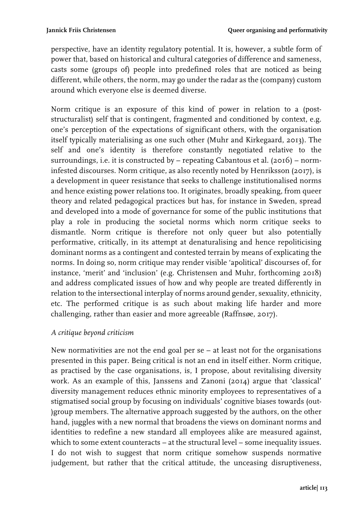perspective, have an identity regulatory potential. It is, however, a subtle form of power that, based on historical and cultural categories of difference and sameness, casts some (groups of) people into predefined roles that are noticed as being different, while others, the norm, may go under the radar as the (company) custom around which everyone else is deemed diverse.

Norm critique is an exposure of this kind of power in relation to a (poststructuralist) self that is contingent, fragmented and conditioned by context, e.g. one's perception of the expectations of significant others, with the organisation itself typically materialising as one such other (Muhr and Kirkegaard, 2013). The self and one's identity is therefore constantly negotiated relative to the surroundings, i.e. it is constructed by – repeating Cabantous et al. (2016) – norminfested discourses. Norm critique, as also recently noted by Henriksson (2017), is a development in queer resistance that seeks to challenge institutionalised norms and hence existing power relations too. It originates, broadly speaking, from queer theory and related pedagogical practices but has, for instance in Sweden, spread and developed into a mode of governance for some of the public institutions that play a role in producing the societal norms which norm critique seeks to dismantle. Norm critique is therefore not only queer but also potentially performative, critically, in its attempt at denaturalising and hence repoliticising dominant norms as a contingent and contested terrain by means of explicating the norms. In doing so, norm critique may render visible 'apolitical' discourses of, for instance, 'merit' and 'inclusion' (e.g. Christensen and Muhr, forthcoming 2018) and address complicated issues of how and why people are treated differently in relation to the intersectional interplay of norms around gender, sexuality, ethnicity, etc. The performed critique is as such about making life harder and more challenging, rather than easier and more agreeable (Raffnsøe, 2017).

#### *A critique beyond criticism*

New normativities are not the end goal per se – at least not for the organisations presented in this paper. Being critical is not an end in itself either. Norm critique, as practised by the case organisations, is, I propose, about revitalising diversity work. As an example of this, Janssens and Zanoni (2014) argue that 'classical' diversity management reduces ethnic minority employees to representatives of a stigmatised social group by focusing on individuals' cognitive biases towards (out- )group members. The alternative approach suggested by the authors, on the other hand, juggles with a new normal that broadens the views on dominant norms and identities to redefine a new standard all employees alike are measured against, which to some extent counteracts – at the structural level – some inequality issues. I do not wish to suggest that norm critique somehow suspends normative judgement, but rather that the critical attitude, the unceasing disruptiveness,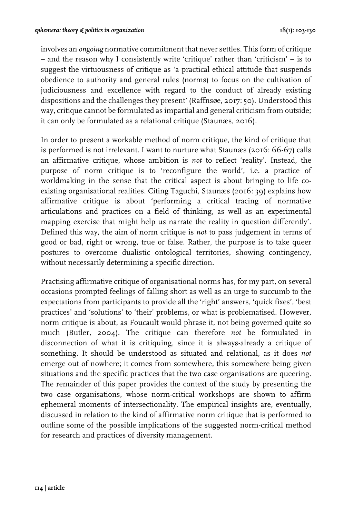involves an *ongoing* normative commitment that never settles. This form of critique – and the reason why I consistently write 'critique' rather than 'criticism' – is to suggest the virtuousness of critique as 'a practical ethical attitude that suspends obedience to authority and general rules (norms) to focus on the cultivation of judiciousness and excellence with regard to the conduct of already existing dispositions and the challenges they present' (Raffnsøe, 2017: 50). Understood this way, critique cannot be formulated as impartial and general criticism from outside; it can only be formulated as a relational critique (Staunæs, 2016).

In order to present a workable method of norm critique, the kind of critique that is performed is not irrelevant. I want to nurture what Staunæs (2016: 66-67) calls an affirmative critique, whose ambition is *not* to reflect 'reality'. Instead, the purpose of norm critique is to 'reconfigure the world', i.e. a practice of worldmaking in the sense that the critical aspect is about bringing to life coexisting organisational realities. Citing Taguchi, Staunæs (2016: 39) explains how affirmative critique is about 'performing a critical tracing of normative articulations and practices on a field of thinking, as well as an experimental mapping exercise that might help us narrate the reality in question differently'. Defined this way, the aim of norm critique is *not* to pass judgement in terms of good or bad, right or wrong, true or false. Rather, the purpose is to take queer postures to overcome dualistic ontological territories, showing contingency, without necessarily determining a specific direction.

Practising affirmative critique of organisational norms has, for my part, on several occasions prompted feelings of falling short as well as an urge to succumb to the expectations from participants to provide all the 'right' answers, 'quick fixes', 'best practices' and 'solutions' to 'their' problems, or what is problematised. However, norm critique is about, as Foucault would phrase it, not being governed quite so much (Butler, 2004). The critique can therefore *not* be formulated in disconnection of what it is critiquing, since it is always-already a critique of something. It should be understood as situated and relational, as it does *not* emerge out of nowhere; it comes from somewhere, this somewhere being given situations and the specific practices that the two case organisations are queering. The remainder of this paper provides the context of the study by presenting the two case organisations, whose norm-critical workshops are shown to affirm ephemeral moments of intersectionality. The empirical insights are, eventually, discussed in relation to the kind of affirmative norm critique that is performed to outline some of the possible implications of the suggested norm-critical method for research and practices of diversity management.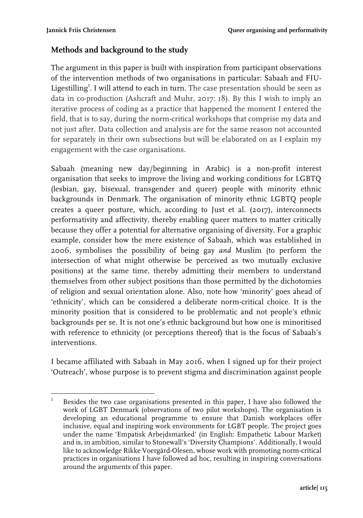## **Methods and background to the study**

The argument in this paper is built with inspiration from participant observations of the intervention methods of two organisations in particular: Sabaah and FIU-Ligestilling<sup>1</sup>. I will attend to each in turn. The case presentation should be seen as data in co-production (Ashcraft and Muhr, 2017: 18). By this I wish to imply an iterative process of coding as a practice that happened the moment I entered the field, that is to say, during the norm-critical workshops that comprise my data and not just after. Data collection and analysis are for the same reason not accounted for separately in their own subsections but will be elaborated on as I explain my engagement with the case organisations.

Sabaah (meaning new day/beginning in Arabic) is a non-profit interest organisation that seeks to improve the living and working conditions for LGBTQ (lesbian, gay, bisexual, transgender and queer) people with minority ethnic backgrounds in Denmark. The organisation of minority ethnic LGBTQ people creates a queer posture, which, according to Just et al. (2017), interconnects performativity and affectivity, thereby enabling queer matters to matter critically because they offer a potential for alternative organising of diversity. For a graphic example, consider how the mere existence of Sabaah, which was established in 2006, symbolises the possibility of being gay *and* Muslim (to perform the intersection of what might otherwise be perceived as two mutually exclusive positions) at the same time, thereby admitting their members to understand themselves from other subject positions than those permitted by the dichotomies of religion and sexual orientation alone. Also, note how 'minority' goes ahead of 'ethnicity', which can be considered a deliberate norm-critical choice. It is the minority position that is considered to be problematic and not people's ethnic backgrounds per se. It is not one's ethnic background but how one is minoritised with reference to ethnicity (or perceptions thereof) that is the focus of Sabaah's interventions.

I became affiliated with Sabaah in May 2016, when I signed up for their project 'Outreach', whose purpose is to prevent stigma and discrimination against people

  $1$  Besides the two case organisations presented in this paper, I have also followed the work of LGBT Denmark (observations of two pilot workshops). The organisation is developing an educational programme to ensure that Danish workplaces offer inclusive, equal and inspiring work environments for LGBT people. The project goes under the name 'Empatisk Arbejdsmarked' (in English: Empathetic Labour Market) and is, in ambition, similar to Stonewall's 'Diversity Champions'. Additionally, I would like to acknowledge Rikke Voergård-Olesen, whose work with promoting norm-critical practices in organisations I have followed ad hoc, resulting in inspiring conversations around the arguments of this paper.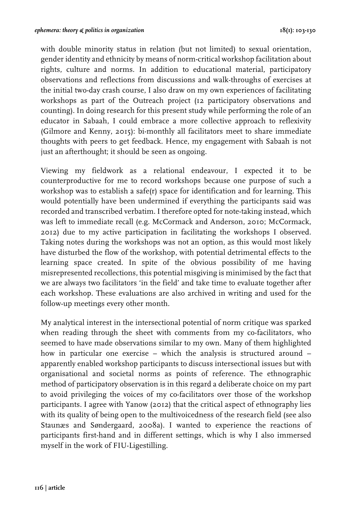with double minority status in relation (but not limited) to sexual orientation, gender identity and ethnicity by means of norm-critical workshop facilitation about rights, culture and norms. In addition to educational material, participatory observations and reflections from discussions and walk-throughs of exercises at the initial two-day crash course, I also draw on my own experiences of facilitating workshops as part of the Outreach project (12 participatory observations and counting). In doing research for this present study while performing the role of an educator in Sabaah, I could embrace a more collective approach to reflexivity (Gilmore and Kenny, 2015): bi-monthly all facilitators meet to share immediate thoughts with peers to get feedback. Hence, my engagement with Sabaah is not just an afterthought; it should be seen as ongoing.

Viewing my fieldwork as a relational endeavour, I expected it to be counterproductive for me to record workshops because one purpose of such a workshop was to establish a safe(r) space for identification and for learning. This would potentially have been undermined if everything the participants said was recorded and transcribed verbatim. I therefore opted for note-taking instead, which was left to immediate recall (e.g. McCormack and Anderson, 2010; McCormack, 2012) due to my active participation in facilitating the workshops I observed. Taking notes during the workshops was not an option, as this would most likely have disturbed the flow of the workshop, with potential detrimental effects to the learning space created. In spite of the obvious possibility of me having misrepresented recollections, this potential misgiving is minimised by the fact that we are always two facilitators 'in the field' and take time to evaluate together after each workshop. These evaluations are also archived in writing and used for the follow-up meetings every other month.

My analytical interest in the intersectional potential of norm critique was sparked when reading through the sheet with comments from my co-facilitators, who seemed to have made observations similar to my own. Many of them highlighted how in particular one exercise – which the analysis is structured around – apparently enabled workshop participants to discuss intersectional issues but with organisational and societal norms as points of reference. The ethnographic method of participatory observation is in this regard a deliberate choice on my part to avoid privileging the voices of my co-facilitators over those of the workshop participants. I agree with Yanow (2012) that the critical aspect of ethnography lies with its quality of being open to the multivoicedness of the research field (see also Staunæs and Søndergaard, 2008a). I wanted to experience the reactions of participants first-hand and in different settings, which is why I also immersed myself in the work of FIU-Ligestilling.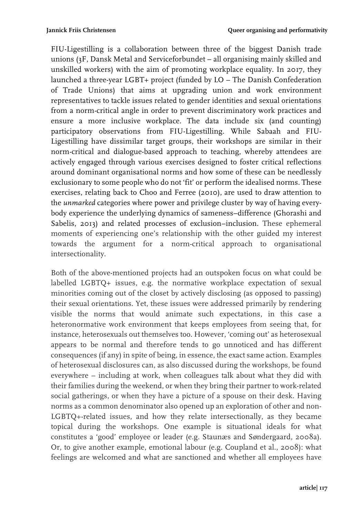FIU-Ligestilling is a collaboration between three of the biggest Danish trade unions (3F, Dansk Metal and Serviceforbundet – all organising mainly skilled and unskilled workers) with the aim of promoting workplace equality. In 2017, they launched a three-year LGBT+ project (funded by LO – The Danish Confederation of Trade Unions) that aims at upgrading union and work environment representatives to tackle issues related to gender identities and sexual orientations from a norm-critical angle in order to prevent discriminatory work practices and ensure a more inclusive workplace. The data include six (and counting) participatory observations from FIU-Ligestilling. While Sabaah and FIU-Ligestilling have dissimilar target groups, their workshops are similar in their norm-critical and dialogue-based approach to teaching, whereby attendees are actively engaged through various exercises designed to foster critical reflections around dominant organisational norms and how some of these can be needlessly exclusionary to some people who do not 'fit' or perform the idealised norms. These exercises, relating back to Choo and Ferree (2010), are used to draw attention to the *unmarked* categories where power and privilege cluster by way of having everybody experience the underlying dynamics of sameness–difference (Ghorashi and Sabelis, 2013) and related processes of exclusion–inclusion. These ephemeral moments of experiencing one's relationship with the other guided my interest towards the argument for a norm-critical approach to organisational intersectionality.

Both of the above-mentioned projects had an outspoken focus on what could be labelled LGBTQ+ issues, e.g. the normative workplace expectation of sexual minorities coming out of the closet by actively disclosing (as opposed to passing) their sexual orientations. Yet, these issues were addressed primarily by rendering visible the norms that would animate such expectations, in this case a heteronormative work environment that keeps employees from seeing that, for instance, heterosexuals out themselves too. However, 'coming out' as heterosexual appears to be normal and therefore tends to go unnoticed and has different consequences (if any) in spite of being, in essence, the exact same action. Examples of heterosexual disclosures can, as also discussed during the workshops, be found everywhere – including at work, when colleagues talk about what they did with their families during the weekend, or when they bring their partner to work-related social gatherings, or when they have a picture of a spouse on their desk. Having norms as a common denominator also opened up an exploration of other and non-LGBTQ+-related issues, and how they relate intersectionally, as they became topical during the workshops. One example is situational ideals for what constitutes a 'good' employee or leader (e.g. Staunæs and Søndergaard, 2008a). Or, to give another example, emotional labour (e.g. Coupland et al., 2008): what feelings are welcomed and what are sanctioned and whether all employees have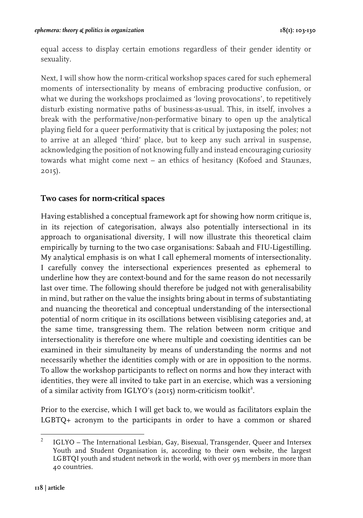equal access to display certain emotions regardless of their gender identity or sexuality.

Next, I will show how the norm-critical workshop spaces cared for such ephemeral moments of intersectionality by means of embracing productive confusion, or what we during the workshops proclaimed as 'loving provocations', to repetitively disturb existing normative paths of business-as-usual. This, in itself, involves a break with the performative/non-performative binary to open up the analytical playing field for a queer performativity that is critical by juxtaposing the poles; not to arrive at an alleged 'third' place, but to keep any such arrival in suspense, acknowledging the position of not knowing fully and instead encouraging curiosity towards what might come next – an ethics of hesitancy (Kofoed and Staunæs, 2015).

# **Two cases for norm-critical spaces**

Having established a conceptual framework apt for showing how norm critique is, in its rejection of categorisation, always also potentially intersectional in its approach to organisational diversity, I will now illustrate this theoretical claim empirically by turning to the two case organisations: Sabaah and FIU-Ligestilling. My analytical emphasis is on what I call ephemeral moments of intersectionality. I carefully convey the intersectional experiences presented as ephemeral to underline how they are context-bound and for the same reason do not necessarily last over time. The following should therefore be judged not with generalisability in mind, but rather on the value the insights bring about in terms of substantiating and nuancing the theoretical and conceptual understanding of the intersectional potential of norm critique in its oscillations between visiblising categories and, at the same time, transgressing them. The relation between norm critique and intersectionality is therefore one where multiple and coexisting identities can be examined in their simultaneity by means of understanding the norms and not necessarily whether the identities comply with or are in opposition to the norms. To allow the workshop participants to reflect on norms and how they interact with identities, they were all invited to take part in an exercise, which was a versioning of a similar activity from IGLYO's (2015) norm-criticism toolkit<sup>2</sup>.

Prior to the exercise, which I will get back to, we would as facilitators explain the LGBTQ+ acronym to the participants in order to have a common or shared

 <sup>2</sup> IGLYO – The International Lesbian, Gay, Bisexual, Transgender, Queer and Intersex Youth and Student Organisation is, according to their own website, the largest LGBTQI youth and student network in the world, with over 95 members in more than 40 countries.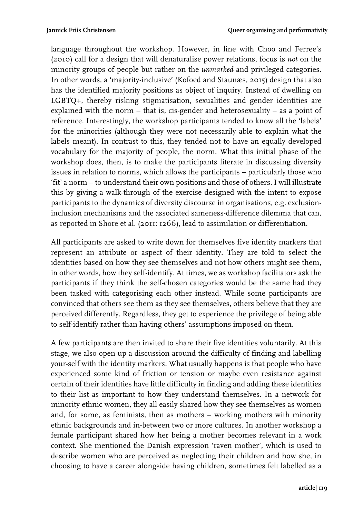language throughout the workshop. However, in line with Choo and Ferree's (2010) call for a design that will denaturalise power relations, focus is *not* on the minority groups of people but rather on the *unmarked* and privileged categories. In other words, a 'majority-inclusive' (Kofoed and Staunæs, 2015) design that also has the identified majority positions as object of inquiry. Instead of dwelling on LGBTQ+, thereby risking stigmatisation, sexualities and gender identities are explained with the norm – that is, cis-gender and heterosexuality – as a point of reference. Interestingly, the workshop participants tended to know all the 'labels' for the minorities (although they were not necessarily able to explain what the labels meant). In contrast to this, they tended not to have an equally developed vocabulary for the majority of people, the norm. What this initial phase of the workshop does, then, is to make the participants literate in discussing diversity issues in relation to norms, which allows the participants – particularly those who 'fit' a norm – to understand their own positions and those of others. I will illustrate this by giving a walk-through of the exercise designed with the intent to expose participants to the dynamics of diversity discourse in organisations, e.g. exclusioninclusion mechanisms and the associated sameness-difference dilemma that can, as reported in Shore et al. (2011: 1266), lead to assimilation or differentiation.

All participants are asked to write down for themselves five identity markers that represent an attribute or aspect of their identity. They are told to select the identities based on how they see themselves and not how others might see them, in other words, how they self-identify. At times, we as workshop facilitators ask the participants if they think the self-chosen categories would be the same had they been tasked with categorising each other instead. While some participants are convinced that others see them as they see themselves, others believe that they are perceived differently. Regardless, they get to experience the privilege of being able to self-identify rather than having others' assumptions imposed on them.

A few participants are then invited to share their five identities voluntarily. At this stage, we also open up a discussion around the difficulty of finding and labelling your-self with the identity markers. What usually happens is that people who have experienced some kind of friction or tension or maybe even resistance against certain of their identities have little difficulty in finding and adding these identities to their list as important to how they understand themselves. In a network for minority ethnic women, they all easily shared how they see themselves as women and, for some, as feminists, then as mothers – working mothers with minority ethnic backgrounds and in-between two or more cultures. In another workshop a female participant shared how her being a mother becomes relevant in a work context. She mentioned the Danish expression 'raven mother', which is used to describe women who are perceived as neglecting their children and how she, in choosing to have a career alongside having children, sometimes felt labelled as a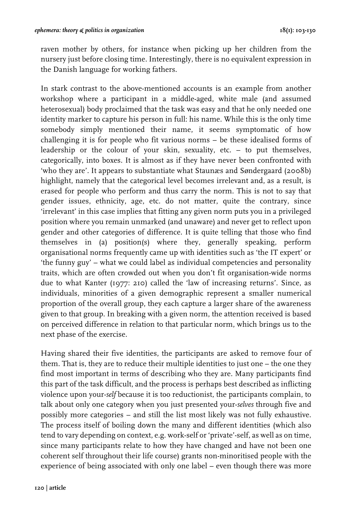raven mother by others, for instance when picking up her children from the nursery just before closing time. Interestingly, there is no equivalent expression in the Danish language for working fathers.

In stark contrast to the above-mentioned accounts is an example from another workshop where a participant in a middle-aged, white male (and assumed heterosexual) body proclaimed that the task was easy and that he only needed one identity marker to capture his person in full: his name. While this is the only time somebody simply mentioned their name, it seems symptomatic of how challenging it is for people who fit various norms – be these idealised forms of leadership or the colour of your skin, sexuality, etc. – to put themselves, categorically, into boxes. It is almost as if they have never been confronted with 'who they are'. It appears to substantiate what Staunæs and Søndergaard (2008b) highlight, namely that the categorical level becomes irrelevant and, as a result, is erased for people who perform and thus carry the norm. This is not to say that gender issues, ethnicity, age, etc. do not matter, quite the contrary, since 'irrelevant' in this case implies that fitting any given norm puts you in a privileged position where you remain unmarked (and unaware) and never get to reflect upon gender and other categories of difference. It is quite telling that those who find themselves in (a) position(s) where they, generally speaking, perform organisational norms frequently came up with identities such as 'the IT expert' or 'the funny guy' – what we could label as individual competencies and personality traits, which are often crowded out when you don't fit organisation-wide norms due to what Kanter (1977: 210) called the 'law of increasing returns'. Since, as individuals, minorities of a given demographic represent a smaller numerical proportion of the overall group, they each capture a larger share of the awareness given to that group. In breaking with a given norm, the attention received is based on perceived difference in relation to that particular norm, which brings us to the next phase of the exercise.

Having shared their five identities, the participants are asked to remove four of them. That is, they are to reduce their multiple identities to just one – the one they find most important in terms of describing who they are. Many participants find this part of the task difficult, and the process is perhaps best described as inflicting violence upon your-*self* because it is too reductionist, the participants complain, to talk about only one category when you just presented your-*selves* through five and possibly more categories – and still the list most likely was not fully exhaustive. The process itself of boiling down the many and different identities (which also tend to vary depending on context, e.g. work-self or 'private'-self, as well as on time, since many participants relate to how they have changed and have not been one coherent self throughout their life course) grants non-minoritised people with the experience of being associated with only one label – even though there was more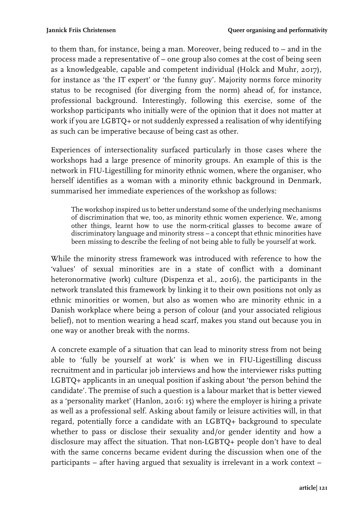to them than, for instance, being a man. Moreover, being reduced to – and in the process made a representative of – one group also comes at the cost of being seen as a knowledgeable, capable and competent individual (Holck and Muhr, 2017), for instance as 'the IT expert' or 'the funny guy'. Majority norms force minority status to be recognised (for diverging from the norm) ahead of, for instance, professional background. Interestingly, following this exercise, some of the workshop participants who initially were of the opinion that it does not matter at work if you are LGBTQ+ or not suddenly expressed a realisation of why identifying as such can be imperative because of being cast as other.

Experiences of intersectionality surfaced particularly in those cases where the workshops had a large presence of minority groups. An example of this is the network in FIU-Ligestilling for minority ethnic women, where the organiser, who herself identifies as a woman with a minority ethnic background in Denmark, summarised her immediate experiences of the workshop as follows:

The workshop inspired us to better understand some of the underlying mechanisms of discrimination that we, too, as minority ethnic women experience. We, among other things, learnt how to use the norm-critical glasses to become aware of discriminatory language and minority stress – a concept that ethnic minorities have been missing to describe the feeling of not being able to fully be yourself at work.

While the minority stress framework was introduced with reference to how the 'values' of sexual minorities are in a state of conflict with a dominant heteronormative (work) culture (Dispenza et al., 2016), the participants in the network translated this framework by linking it to their own positions not only as ethnic minorities or women, but also as women who are minority ethnic in a Danish workplace where being a person of colour (and your associated religious belief), not to mention wearing a head scarf, makes you stand out because you in one way or another break with the norms.

A concrete example of a situation that can lead to minority stress from not being able to 'fully be yourself at work' is when we in FIU-Ligestilling discuss recruitment and in particular job interviews and how the interviewer risks putting LGBTQ+ applicants in an unequal position if asking about 'the person behind the candidate'. The premise of such a question is a labour market that is better viewed as a 'personality market' (Hanlon, 2016: 15) where the employer is hiring a private as well as a professional self. Asking about family or leisure activities will, in that regard, potentially force a candidate with an LGBTQ+ background to speculate whether to pass or disclose their sexuality and/or gender identity and how a disclosure may affect the situation. That non-LGBTQ+ people don't have to deal with the same concerns became evident during the discussion when one of the participants – after having argued that sexuality is irrelevant in a work context –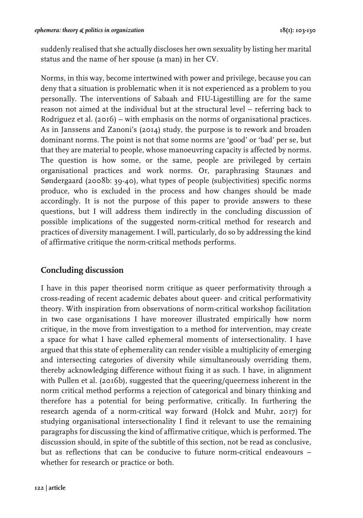suddenly realised that she actually discloses her own sexuality by listing her marital status and the name of her spouse (a man) in her CV.

Norms, in this way, become intertwined with power and privilege, because you can deny that a situation is problematic when it is not experienced as a problem to you personally. The interventions of Sabaah and FIU-Ligestilling are for the same reason not aimed at the individual but at the structural level – referring back to Rodriguez et al. (2016) – with emphasis on the norms of organisational practices. As in Janssens and Zanoni's (2014) study, the purpose is to rework and broaden dominant norms. The point is not that some norms are 'good' or 'bad' per se, but that they are material to people, whose manoeuvring capacity is affected by norms. The question is how some, or the same, people are privileged by certain organisational practices and work norms. Or, paraphrasing Staunæs and Søndergaard (2008b: 39-40), what types of people (subjectivities) specific norms produce, who is excluded in the process and how changes should be made accordingly. It is not the purpose of this paper to provide answers to these questions, but I will address them indirectly in the concluding discussion of possible implications of the suggested norm-critical method for research and practices of diversity management. I will, particularly, do so by addressing the kind of affirmative critique the norm-critical methods performs.

#### **Concluding discussion**

I have in this paper theorised norm critique as queer performativity through a cross-reading of recent academic debates about queer- and critical performativity theory. With inspiration from observations of norm-critical workshop facilitation in two case organisations I have moreover illustrated empirically how norm critique, in the move from investigation to a method for intervention, may create a space for what I have called ephemeral moments of intersectionality. I have argued that this state of ephemerality can render visible a multiplicity of emerging and intersecting categories of diversity while simultaneously overriding them, thereby acknowledging difference without fixing it as such. I have, in alignment with Pullen et al. (2016b), suggested that the queering/queerness inherent in the norm critical method performs a rejection of categorical and binary thinking and therefore has a potential for being performative, critically. In furthering the research agenda of a norm-critical way forward (Holck and Muhr, 2017) for studying organisational intersectionality I find it relevant to use the remaining paragraphs for discussing the kind of affirmative critique, which is performed. The discussion should, in spite of the subtitle of this section, not be read as conclusive, but as reflections that can be conducive to future norm-critical endeavours – whether for research or practice or both.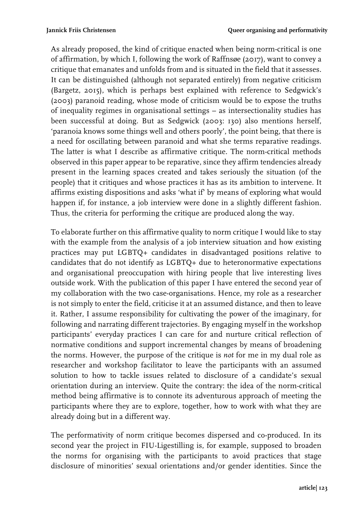As already proposed, the kind of critique enacted when being norm-critical is one of affirmation, by which I, following the work of Raffnsøe (2017), want to convey a critique that emanates and unfolds from and is situated in the field that it assesses. It can be distinguished (although not separated entirely) from negative criticism (Bargetz, 2015), which is perhaps best explained with reference to Sedgwick's (2003) paranoid reading, whose mode of criticism would be to expose the truths of inequality regimes in organisational settings – as intersectionality studies has been successful at doing. But as Sedgwick (2003: 130) also mentions herself, 'paranoia knows some things well and others poorly', the point being, that there is a need for oscillating between paranoid and what she terms reparative readings. The latter is what I describe as affirmative critique. The norm-critical methods observed in this paper appear to be reparative, since they affirm tendencies already present in the learning spaces created and takes seriously the situation (of the people) that it critiques and whose practices it has as its ambition to intervene. It affirms existing dispositions and asks 'what if' by means of exploring what would happen if, for instance, a job interview were done in a slightly different fashion. Thus, the criteria for performing the critique are produced along the way.

To elaborate further on this affirmative quality to norm critique I would like to stay with the example from the analysis of a job interview situation and how existing practices may put LGBTQ+ candidates in disadvantaged positions relative to candidates that do not identify as LGBTQ+ due to heteronormative expectations and organisational preoccupation with hiring people that live interesting lives outside work. With the publication of this paper I have entered the second year of my collaboration with the two case-organisations. Hence, my role as a researcher is not simply to enter the field, criticise it at an assumed distance, and then to leave it. Rather, I assume responsibility for cultivating the power of the imaginary, for following and narrating different trajectories. By engaging myself in the workshop participants' everyday practices I can care for and nurture critical reflection of normative conditions and support incremental changes by means of broadening the norms. However, the purpose of the critique is *not* for me in my dual role as researcher and workshop facilitator to leave the participants with an assumed solution to how to tackle issues related to disclosure of a candidate's sexual orientation during an interview. Quite the contrary: the idea of the norm-critical method being affirmative is to connote its adventurous approach of meeting the participants where they are to explore, together, how to work with what they are already doing but in a different way.

The performativity of norm critique becomes dispersed and co-produced. In its second year the project in FIU-Ligestilling is, for example, supposed to broaden the norms for organising with the participants to avoid practices that stage disclosure of minorities' sexual orientations and/or gender identities. Since the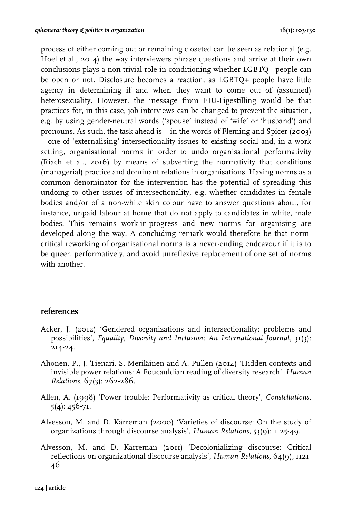process of either coming out or remaining closeted can be seen as relational (e.g. Hoel et al., 2014) the way interviewers phrase questions and arrive at their own conclusions plays a non-trivial role in conditioning whether LGBTQ+ people can be open or not. Disclosure becomes a *re*action, as LGBTQ+ people have little agency in determining if and when they want to come out of (assumed) heterosexuality. However, the message from FIU-Ligestilling would be that practices for, in this case, job interviews can be changed to prevent the situation, e.g. by using gender-neutral words ('spouse' instead of 'wife' or 'husband') and pronouns. As such, the task ahead is – in the words of Fleming and Spicer (2003) – one of 'externalising' intersectionality issues to existing social and, in a work setting, organisational norms in order to undo organisational performativity (Riach et al., 2016) by means of subverting the normativity that conditions (managerial) practice and dominant relations in organisations. Having norms as a common denominator for the intervention has the potential of spreading this undoing to other issues of intersectionality, e.g. whether candidates in female bodies and/or of a non-white skin colour have to answer questions about, for instance, unpaid labour at home that do not apply to candidates in white, male bodies. This remains work-in-progress and new norms for organising are developed along the way. A concluding remark would therefore be that normcritical reworking of organisational norms is a never-ending endeavour if it is to be queer, performatively, and avoid unreflexive replacement of one set of norms with another.

#### **references**

- Acker, J. (2012) 'Gendered organizations and intersectionality: problems and possibilities', *Equality, Diversity and Inclusion: An International Journal*, 31(3): 214-24.
- Ahonen, P., J. Tienari, S. Meriläinen and A. Pullen (2014) 'Hidden contexts and invisible power relations: A Foucauldian reading of diversity research', *Human Relations,* 67(3): 262-286.
- Allen, A. (1998) 'Power trouble: Performativity as critical theory', *Constellations*, 5(4): 456-71.
- Alvesson, M. and D. Kärreman (2000) 'Varieties of discourse: On the study of organizations through discourse analysis', *Human Relations*, 53(9): 1125-49.
- Alvesson, M. and D. Kärreman (2011) 'Decolonializing discourse: Critical reflections on organizational discourse analysis', *Human Relations*, 64(9), 1121- 46.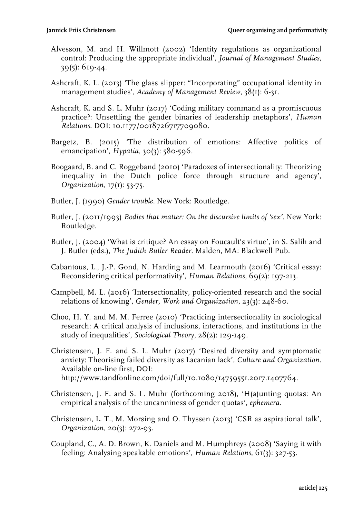- Alvesson, M. and H. Willmott (2002) 'Identity regulations as organizational control: Producing the appropriate individual', *Journal of Management Studies*, 39(5): 619-44.
- Ashcraft, K. L. (2013) 'The glass slipper: "Incorporating" occupational identity in management studies', *Academy of Management Review*, 38(1): 6-31.
- Ashcraft, K. and S. L. Muhr (2017) 'Coding military command as a promiscuous practice?: Unsettling the gender binaries of leadership metaphors', *Human Relations*. DOI: 10.1177/0018726717709080.
- Bargetz, B. (2015) 'The distribution of emotions: Affective politics of emancipation', *Hypatia*, 30(3): 580-596.
- Boogaard, B. and C. Roggeband (2010) 'Paradoxes of intersectionality: Theorizing inequality in the Dutch police force through structure and agency', *Organization*, 17(1): 53-75.
- Butler, J. (1990) *Gender trouble.* New York: Routledge.
- Butler, J. (2011/1993) *Bodies that matter: On the discursive limits of 'sex'*. New York: Routledge.
- Butler, J. (2004) 'What is critique? An essay on Foucault's virtue', in S. Salih and J. Butler (eds.), *The Judith Butler Reader*. Malden, MA: Blackwell Pub.
- Cabantous, L., J.-P. Gond, N. Harding and M. Learmouth (2016) 'Critical essay: Reconsidering critical performativity', *Human Relations*, 69(2): 197-213.
- Campbell, M. L. (2016) 'Intersectionality, policy-oriented research and the social relations of knowing', *Gender, Work and Organization*, 23(3): 248-60.
- Choo, H. Y. and M. M. Ferree (2010) 'Practicing intersectionality in sociological research: A critical analysis of inclusions, interactions, and institutions in the study of inequalities', *Sociological Theory*, 28(2): 129-149.
- Christensen, J. F. and S. L. Muhr (2017) 'Desired diversity and symptomatic anxiety: Theorising failed diversity as Lacanian lack', *Culture and Organization.*  Available on-line first, DOI: http://www.tandfonline.com/doi/full/10.1080/14759551.2017.1407764.
- Christensen, J. F. and S. L. Muhr (forthcoming 2018), 'H(a)unting quotas: An empirical analysis of the uncanniness of gender quotas', *ephemera*.
- Christensen, L. T., M. Morsing and O. Thyssen (2013) 'CSR as aspirational talk', *Organization*, 20(3): 272-93.
- Coupland, C., A. D. Brown, K. Daniels and M. Humphreys (2008) 'Saying it with feeling: Analysing speakable emotions', *Human Relations*, 61(3): 327-53.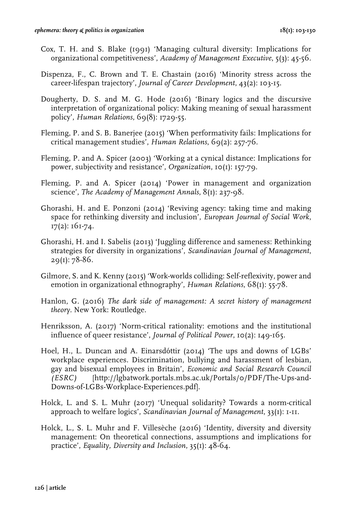- Cox, T. H. and S. Blake (1991) 'Managing cultural diversity: Implications for organizational competitiveness', *Academy of Management Executive*, 5(3): 45-56.
- Dispenza, F., C. Brown and T. E. Chastain (2016) 'Minority stress across the career-lifespan trajectory', *Journal of Career Development*, 43(2): 103-15.
- Dougherty, D. S. and M. G. Hode (2016) 'Binary logics and the discursive interpretation of organizational policy: Making meaning of sexual harassment policy', *Human Relations*, 69(8): 1729-55.
- Fleming, P. and S. B. Banerjee (2015) 'When performativity fails: Implications for critical management studies', *Human Relations*, 69(2): 257-76.
- Fleming, P. and A. Spicer (2003) 'Working at a cynical distance: Implications for power, subjectivity and resistance', *Organization*, 10(1): 157-79.
- Fleming, P. and A. Spicer (2014) 'Power in management and organization science', *The Academy of Management Annals*, 8(1): 237-98.
- Ghorashi, H. and E. Ponzoni (2014) 'Reviving agency: taking time and making space for rethinking diversity and inclusion', *European Journal of Social Work*, 17(2): 161-74.
- Ghorashi, H. and I. Sabelis (2013) 'Juggling difference and sameness: Rethinking strategies for diversity in organizations', *Scandinavian Journal of Management*, 29(1): 78-86.
- Gilmore, S. and K. Kenny (2015) 'Work-worlds colliding: Self-reflexivity, power and emotion in organizational ethnography', *Human Relations*, 68(1): 55-78.
- Hanlon, G. (2016) *The dark side of management: A secret history of management theory.* New York: Routledge.
- Henriksson, A. (2017) 'Norm-critical rationality: emotions and the institutional influence of queer resistance', *Journal of Political Power*, 10(2): 149-165.
- Hoel, H., L. Duncan and A. Einarsdóttir (2014) 'The ups and downs of LGBs' workplace experiences. Discrimination, bullying and harassment of lesbian, gay and bisexual employees in Britain', *Economic and Social Research Council (ESRC)* [http://lgbatwork.portals.mbs.ac.uk/Portals/0/PDF/The-Ups-and-Downs-of-LGBs-Workplace-Experiences.pdf]*.*
- Holck, L. and S. L. Muhr (2017) 'Unequal solidarity? Towards a norm-critical approach to welfare logics', *Scandinavian Journal of Management*, 33(1): 1-11.
- Holck, L., S. L. Muhr and F. Villesèche (2016) 'Identity, diversity and diversity management: On theoretical connections, assumptions and implications for practice', *Equality, Diversity and Inclusion*, 35(1): 48-64.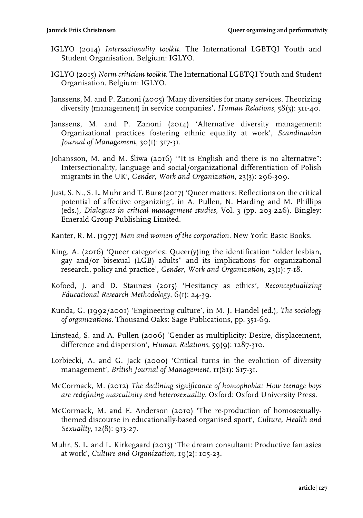- IGLYO (2014) *Intersectionality toolkit.* The International LGBTQI Youth and Student Organisation. Belgium: IGLYO.
- IGLYO (2015) *Norm criticism toolkit*. The International LGBTQI Youth and Student Organisation. Belgium: IGLYO.
- Janssens, M. and P. Zanoni (2005) 'Many diversities for many services. Theorizing diversity (management) in service companies', *Human Relations*, 58(3): 311-40.
- Janssens, M. and P. Zanoni (2014) 'Alternative diversity management: Organizational practices fostering ethnic equality at work', *Scandinavian Journal of Management*, 30(1): 317-31.
- Johansson, M. and M. Śliwa (2016) '"It is English and there is no alternative": Intersectionality, language and social/organizational differentiation of Polish migrants in the UK', *Gender, Work and Organization*, 23(3): 296-309.
- Just, S. N., S. L. Muhr and T. Burø (2017) 'Queer matters: Reflections on the critical potential of affective organizing', in A. Pullen, N. Harding and M. Phillips (eds.), *Dialogues in critical management studies*, Vol. 3 (pp. 203-226). Bingley: Emerald Group Publishing Limited.
- Kanter, R. M. (1977) *Men and women of the corporation*. New York: Basic Books.
- King, A. (2016) 'Queer categories: Queer(y)ing the identification "older lesbian, gay and/or bisexual (LGB) adults" and its implications for organizational research, policy and practice', *Gender, Work and Organization*, 23(1): 7-18.
- Kofoed, J. and D. Staunæs (2015) 'Hesitancy as ethics', *Reconceptualizing Educational Research Methodology*, 6(1): 24-39.
- Kunda, G. (1992/2001) 'Engineering culture', in M. J. Handel (ed.), *The sociology of organizations*. Thousand Oaks: Sage Publications, pp. 351-69.
- Linstead, S. and A. Pullen (2006) 'Gender as multiplicity: Desire, displacement, difference and dispersion', *Human Relations*, 59(9): 1287-310.
- Lorbiecki, A. and G. Jack (2000) 'Critical turns in the evolution of diversity management', *British Journal of Management*, 11(S1): S17-31.
- McCormack, M. (2012) *The declining significance of homophobia: How teenage boys are redefining masculinity and heterosexuality.* Oxford: Oxford University Press.
- McCormack, M. and E. Anderson (2010) 'The re-production of homosexuallythemed discourse in educationally-based organised sport', *Culture, Health and Sexuality*, 12(8): 913-27.
- Muhr, S. L. and L. Kirkegaard (2013) 'The dream consultant: Productive fantasies at work', *Culture and Organization*, 19(2): 105-23.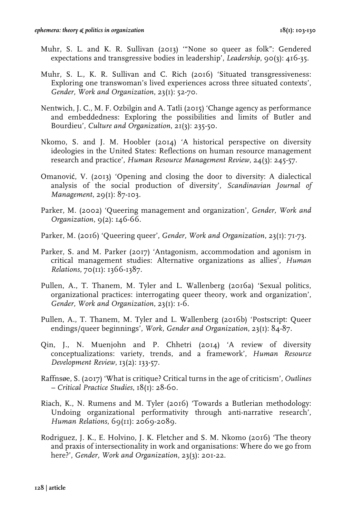- Muhr, S. L. and K. R. Sullivan (2013) '"None so queer as folk": Gendered expectations and transgressive bodies in leadership', *Leadership*, 90(3): 416-35.
- Muhr, S. L., K. R. Sullivan and C. Rich (2016) 'Situated transgressiveness: Exploring one transwoman's lived experiences across three situated contexts', *Gender, Work and Organization*, 23(1): 52-70.
- Nentwich, J. C., M. F. Ozbilgin and A. Tatli (2015) 'Change agency as performance and embeddedness: Exploring the possibilities and limits of Butler and Bourdieu', *Culture and Organization*, 21(3): 235-50.
- Nkomo, S. and J. M. Hoobler (2014) 'A historical perspective on diversity ideologies in the United States: Reflections on human resource management research and practice', *Human Resource Management Review*, 24(3): 245-57.
- Omanović, V. (2013) 'Opening and closing the door to diversity: A dialectical analysis of the social production of diversity', *Scandinavian Journal of Management*, 29(1): 87-103.
- Parker, M. (2002) 'Queering management and organization', *Gender, Work and Organization*, 9(2): 146-66.
- Parker, M. (2016) 'Queering queer', *Gender, Work and Organization*, 23(1): 71-73.
- Parker, S. and M. Parker (2017) 'Antagonism, accommodation and agonism in critical management studies: Alternative organizations as allies', *Human Relations*, 70(11): 1366-1387.
- Pullen, A., T. Thanem, M. Tyler and L. Wallenberg (2016a) 'Sexual politics, organizational practices: interrogating queer theory, work and organization', *Gender, Work and Organization*, 23(1): 1-6.
- Pullen, A., T. Thanem, M. Tyler and L. Wallenberg (2016b) 'Postscript: Queer endings/queer beginnings', *Work, Gender and Organization*, 23(1): 84-87.
- Qin, J., N. Muenjohn and P. Chhetri (2014) 'A review of diversity conceptualizations: variety, trends, and a framework', *Human Resource Development Review*, 13(2): 133-57.
- Raffnsøe, S. (2017) 'What is critique? Critical turns in the age of criticism', *Outlines – Critical Practice Studies*, 18(1): 28-60.
- Riach, K., N. Rumens and M. Tyler (2016) 'Towards a Butlerian methodology: Undoing organizational performativity through anti-narrative research', *Human Relations*, 69(11): 2069-2089.
- Rodriguez, J. K., E. Holvino, J. K. Fletcher and S. M. Nkomo (2016) 'The theory and praxis of intersectionality in work and organisations: Where do we go from here?', *Gender, Work and Organization*, 23(3): 201-22.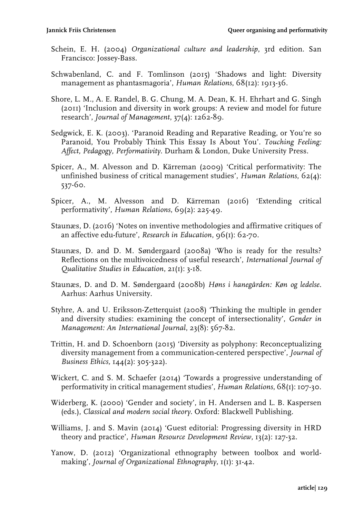- Schein, E. H. (2004) *Organizational culture and leadership*, 3rd edition. San Francisco: Jossey-Bass.
- Schwabenland, C. and F. Tomlinson (2015) 'Shadows and light: Diversity management as phantasmagoria', *Human Relations*, 68(12): 1913-36.
- Shore, L. M., A. E. Randel, B. G. Chung, M. A. Dean, K. H. Ehrhart and G. Singh (2011) 'Inclusion and diversity in work groups: A review and model for future research', *Journal of Management*, 37(4): 1262-89.
- Sedgwick, E. K. (2003). 'Paranoid Reading and Reparative Reading, or You're so Paranoid, You Probably Think This Essay Is About You'*. Touching Feeling: Affect, Pedagogy, Performativity*. Durham & London, Duke University Press.
- Spicer, A., M. Alvesson and D. Kärreman (2009) 'Critical performativity: The unfinished business of critical management studies', *Human Relations*, 62(4): 537-60.
- Spicer, A., M. Alvesson and D. Kärreman (2016) 'Extending critical performativity', *Human Relations*, 69(2): 225-49.
- Staunæs, D. (2016) 'Notes on inventive methodologies and affirmative critiques of an affective edu-future', *Research in Education*, 96(1): 62-70.
- Staunæs, D. and D. M. Søndergaard (2008a) 'Who is ready for the results? Reflections on the multivoicedness of useful research', *International Journal of Qualitative Studies in Education*, 21(1): 3-18.
- Staunæs, D. and D. M. Søndergaard (2008b) *Høns i hanegården: Køn og ledelse.* Aarhus: Aarhus University.
- Styhre, A. and U. Eriksson-Zetterquist (2008) 'Thinking the multiple in gender and diversity studies: examining the concept of intersectionality', *Gender in Management: An International Journal*, 23(8): 567-82.
- Trittin, H. and D. Schoenborn (2015) 'Diversity as polyphony: Reconceptualizing diversity management from a communication-centered perspective', *Journal of Business Ethics,* 144(2): 305-322).
- Wickert, C. and S. M. Schaefer (2014) 'Towards a progressive understanding of performativity in critical management studies', *Human Relations*, 68(1): 107-30.
- Widerberg, K. (2000) 'Gender and society', in H. Andersen and L. B. Kaspersen (eds.), *Classical and modern social theory*. Oxford: Blackwell Publishing.
- Williams, J. and S. Mavin (2014) 'Guest editorial: Progressing diversity in HRD theory and practice', *Human Resource Development Review*, 13(2): 127-32.
- Yanow, D. (2012) 'Organizational ethnography between toolbox and worldmaking', *Journal of Organizational Ethnography*,  $I(I)$ : 31-42.